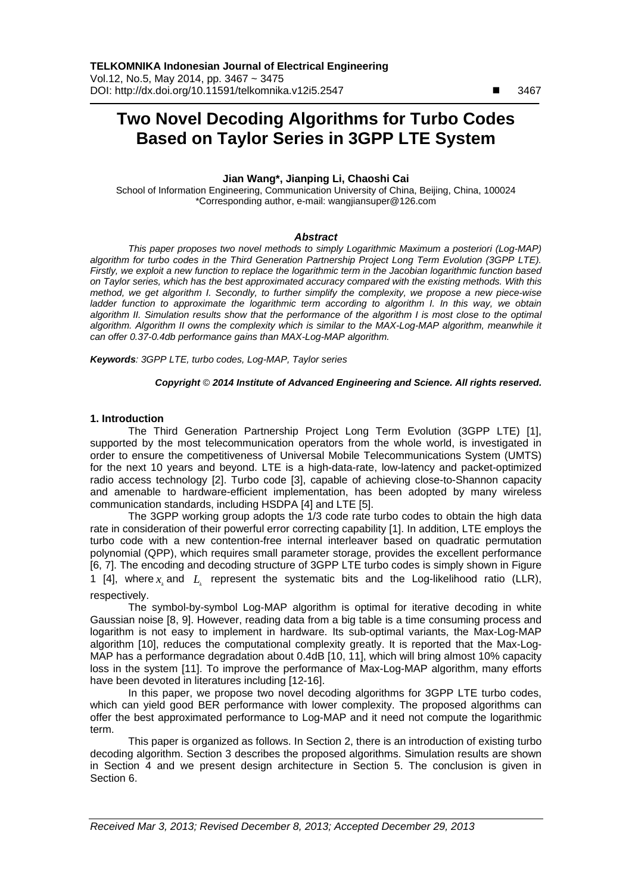# **Two Novel Decoding Algorithms for Turbo Codes Based on Taylor Series in 3GPP LTE System**

## **Jian Wang\*, Jianping Li, Chaoshi Cai**

School of Information Engineering, Communication University of China, Beijing, China, 100024 \*Corresponding author, e-mail: wangjiansuper@126.com

#### *Abstract*

*This paper proposes two novel methods to simply Logarithmic Maximum a posteriori (Log-MAP) algorithm for turbo codes in the Third Generation Partnership Project Long Term Evolution (3GPP LTE). Firstly, we exploit a new function to replace the logarithmic term in the Jacobian logarithmic function based on Taylor series, which has the best approximated accuracy compared with the existing methods. With this method, we get algorithm I. Secondly, to further simplify the complexity, we propose a new piece-wise*  ladder function to approximate the logarithmic term according to algorithm I. In this way, we obtain *algorithm II. Simulation results show that the performance of the algorithm I is most close to the optimal algorithm. Algorithm II owns the complexity which is similar to the MAX-Log-MAP algorithm, meanwhile it can offer 0.37-0.4db performance gains than MAX-Log-MAP algorithm.* 

*Keywords: 3GPP LTE, turbo codes, Log-MAP, Taylor series*

## *Copyright* © *2014 Institute of Advanced Engineering and Science. All rights reserved.*

## **1. Introduction**

The Third Generation Partnership Project Long Term Evolution (3GPP LTE) [1], supported by the most telecommunication operators from the whole world, is investigated in order to ensure the competitiveness of Universal Mobile Telecommunications System (UMTS) for the next 10 years and beyond. LTE is a high-data-rate, low-latency and packet-optimized radio access technology [2]. Turbo code [3], capable of achieving close-to-Shannon capacity and amenable to hardware-efficient implementation, has been adopted by many wireless communication standards, including HSDPA [4] and LTE [5].

The 3GPP working group adopts the 1/3 code rate turbo codes to obtain the high data rate in consideration of their powerful error correcting capability [1]. In addition, LTE employs the turbo code with a new contention-free internal interleaver based on quadratic permutation polynomial (QPP), which requires small parameter storage, provides the excellent performance [6, 7]. The encoding and decoding structure of 3GPP LTE turbo codes is simply shown in Figure 1 [4], where  $x_k$  and  $L_k$  represent the systematic bits and the Log-likelihood ratio (LLR), respectively.

The symbol-by-symbol Log-MAP algorithm is optimal for iterative decoding in white Gaussian noise [8, 9]. However, reading data from a big table is a time consuming process and logarithm is not easy to implement in hardware. Its sub-optimal variants, the Max-Log-MAP algorithm [10], reduces the computational complexity greatly. It is reported that the Max-Log-MAP has a performance degradation about 0.4dB [10, 11], which will bring almost 10% capacity loss in the system [11]. To improve the performance of Max-Log-MAP algorithm, many efforts have been devoted in literatures including [12-16].

In this paper, we propose two novel decoding algorithms for 3GPP LTE turbo codes, which can yield good BER performance with lower complexity. The proposed algorithms can offer the best approximated performance to Log-MAP and it need not compute the logarithmic term.

This paper is organized as follows. In Section 2, there is an introduction of existing turbo decoding algorithm. Section 3 describes the proposed algorithms. Simulation results are shown in Section 4 and we present design architecture in Section 5. The conclusion is given in Section 6.

 $\overline{a}$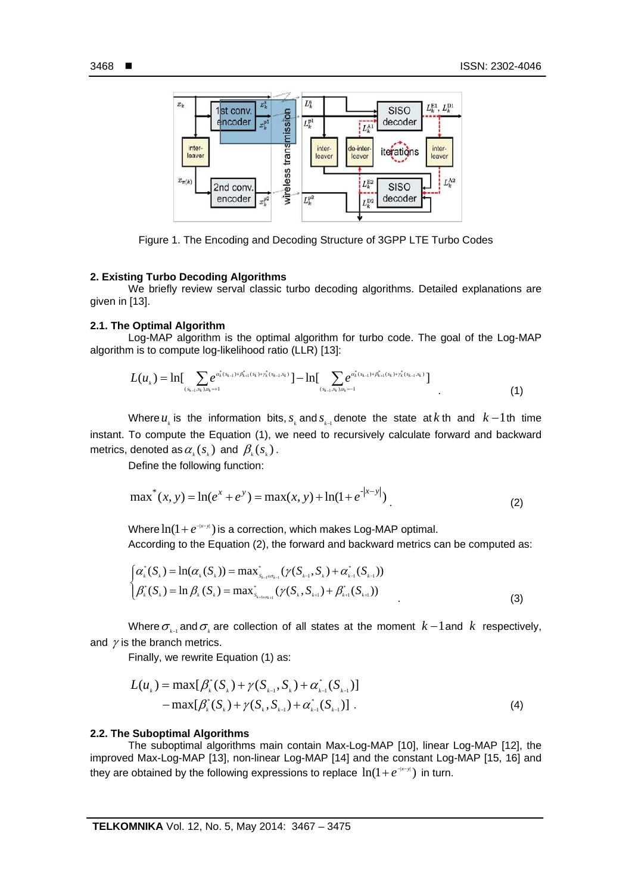İ



Figure 1. The Encoding and Decoding Structure of 3GPP LTE Turbo Codes

### **2. Existing Turbo Decoding Algorithms**

We briefly review serval classic turbo decoding algorithms. Detailed explanations are given in [13].

### **2.1. The Optimal Algorithm**

Log-MAP algorithm is the optimal algorithm for turbo code. The goal of the Log-MAP algorithm is to compute log-likelihood ratio (LLR) [13]:

$$
L(u_{k}) = \ln \left[ \sum_{(s_{k-1}, s_{k}) \neq k+1} e^{a_{k}^{*}(s_{k-1}) + \beta_{k+1}^{*}(s_{k}) + \gamma_{k}^{*}(s_{k-1}, s_{k})} \right] - \ln \left[ \sum_{(s_{k-1}, s_{k}) \neq k+1} e^{a_{k}^{*}(s_{k-1}) + \beta_{k+1}^{*}(s_{k}) + \gamma_{k}^{*}(s_{k-1}, s_{k})} \right]
$$
\n
$$
(1)
$$

Where  $u_k$  is the information bits,  $s_k$  and  $s_{k-1}$  denote the state at *k* th and  $k-1$  th time instant. To compute the Equation (1), we need to recursively calculate forward and backward metrics, denoted as  $\alpha_k(s_k)$  and  $\beta_k(s_k)$ .

Define the following function:

$$
\max^{*}(x, y) = \ln(e^{x} + e^{y}) = \max(x, y) + \ln(1 + e^{-|x - y|})
$$
\n(2)

Where  $\ln(1 + e^{-|x-y|})$  is a correction, which makes Log-MAP optimal.

According to the Equation (2), the forward and backward metrics can be computed as:

$$
\begin{cases}\n\alpha_k^*(S_k) = \ln(\alpha_k(S_k)) = \max_{s_{k-1} \in \sigma_{k-1}} (\gamma(S_{k-1}, S_k) + \alpha_{k-1}^*(S_{k-1})) \\
\beta_k^*(S_k) = \ln \beta_k(S_k) = \max_{s_{k+1} \in \sigma_{k-1}} (\gamma(S_k, S_{k+1}) + \beta_{k+1}^*(S_{k+1}))\n\end{cases}
$$
\n(3)

Where  $\sigma_{k}$  and  $\sigma_{k}$  are collection of all states at the moment  $k-1$  and  $k$  respectively, and  $\gamma$  is the branch metrics.

Finally, we rewrite Equation (1) as:

$$
L(uk) = \max[\beta_{k}^{*}(S_{k}) + \gamma(S_{k-1}, S_{k}) + \alpha_{k-1}^{*}(S_{k-1})]
$$
  
-
$$
\max[\beta_{k}^{*}(S_{k}) + \gamma(S_{k}, S_{k-1}) + \alpha_{k-1}^{*}(S_{k-1})].
$$
 (4)

#### **2.2. The Suboptimal Algorithms**

The suboptimal algorithms main contain Max-Log-MAP [10], linear Log-MAP [12], the improved Max-Log-MAP [13], non-linear Log-MAP [14] and the constant Log-MAP [15, 16] and they are obtained by the following expressions to replace  $ln(1 + e^{-|x-y|})$  in turn.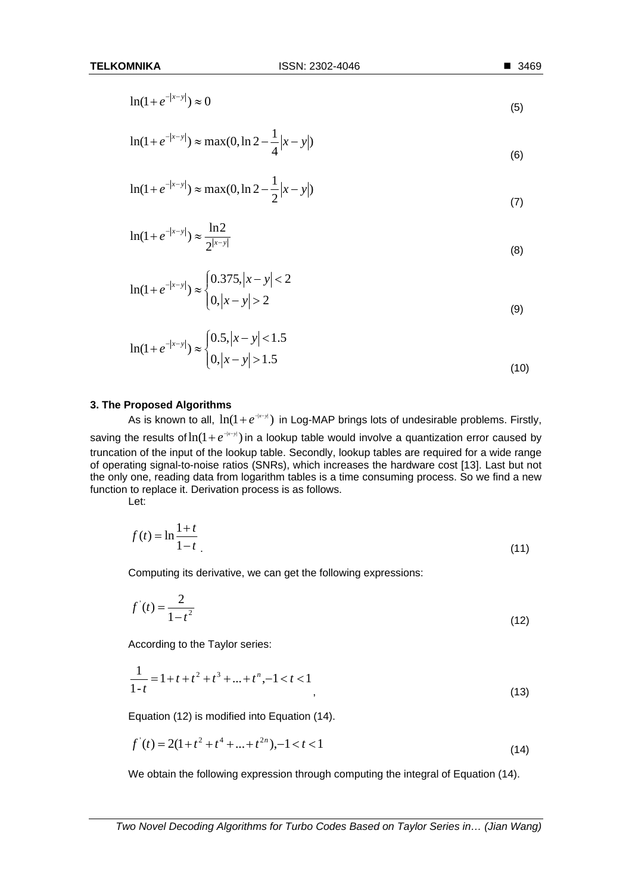$$
\ln(1+e^{-|x-y|}) \approx 0\tag{5}
$$

$$
\ln(1 + e^{-|x-y|}) \approx \max(0, \ln 2 - \frac{1}{4}|x-y|)
$$
\n(6)

$$
\ln(1 + e^{-|x-y|}) \approx \max(0, \ln 2 - \frac{1}{2}|x-y|)
$$
\n(7)

$$
\ln(1 + e^{-|x-y|}) \approx \frac{\ln 2}{2^{|x-y|}}
$$
 (8)

$$
\ln(1+e^{-|x-y|}) \approx \begin{cases} 0.375, |x-y| < 2\\ 0, |x-y| > 2 \end{cases} \tag{9}
$$

$$
\ln(1+e^{-|x-y|}) \approx \begin{cases} 0.5, |x-y| < 1.5\\ 0, |x-y| > 1.5 \end{cases} \tag{10}
$$

#### **3. The Proposed Algorithms**

As is known to all,  $ln(1 + e^{+x-y})$  in Log-MAP brings lots of undesirable problems. Firstly, saving the results of  $ln(1 + e^{-|x-y|})$  in a lookup table would involve a quantization error caused by truncation of the input of the lookup table. Secondly, lookup tables are required for a wide range of operating signal-to-noise ratios (SNRs), which increases the hardware cost [13]. Last but not the only one, reading data from logarithm tables is a time consuming process. So we find a new function to replace it. Derivation process is as follows.

Let:

$$
f(t) = \ln \frac{1+t}{1-t}
$$
\n<sup>(11)</sup>

Computing its derivative, we can get the following expressions:

$$
f'(t) = \frac{2}{1 - t^2}
$$
 (12)

According to the Taylor series:

$$
\frac{1}{1-t} = 1 + t + t^2 + t^3 + \dots + t^n, -1 < t < 1
$$
\n<sup>(13)</sup>

Equation (12) is modified into Equation (14).

$$
f'(t) = 2(1 + t^2 + t^4 + \dots + t^{2n}), -1 < t < 1
$$
\n(14)

We obtain the following expression through computing the integral of Equation (14).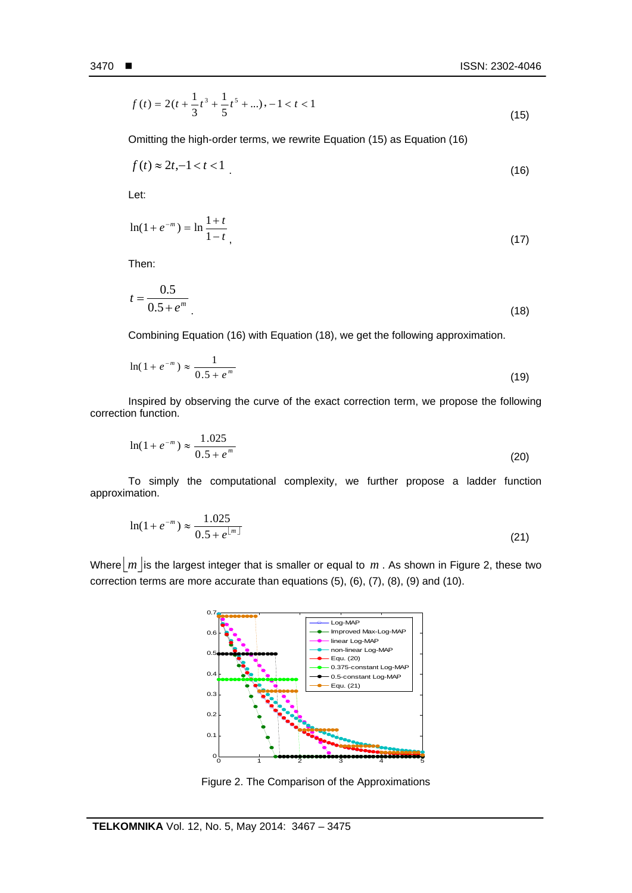İ

$$
f(t) = 2(t + \frac{1}{3}t^3 + \frac{1}{5}t^5 + \ldots), -1 < t < 1
$$
\n(15)

Omitting the high-order terms, we rewrite Equation (15) as Equation (16)

$$
f(t) \approx 2t, -1 < t < 1 \tag{16}
$$

Let:

$$
\ln(1 + e^{-m}) = \ln \frac{1+t}{1-t},\tag{17}
$$

Then:

$$
t = \frac{0.5}{0.5 + e^m} \tag{18}
$$

Combining Equation (16) with Equation (18), we get the following approximation.

$$
\ln(1 + e^{-m}) \approx \frac{1}{0.5 + e^{m}}
$$
 (19)

Inspired by observing the curve of the exact correction term, we propose the following correction function.

$$
\ln(1 + e^{-m}) \approx \frac{1.025}{0.5 + e^{m}}
$$
 (20)

To simply the computational complexity, we further propose a ladder function approximation.

$$
\ln(1 + e^{-m}) \approx \frac{1.025}{0.5 + e^{\lfloor m \rfloor}}\tag{21}
$$

Where  $|m|$  is the largest integer that is smaller or equal to  $m$ . As shown in Figure 2, these two correction terms are more accurate than equations (5), (6), (7), (8), (9) and (10).



Figure 2. The Comparison of the Approximations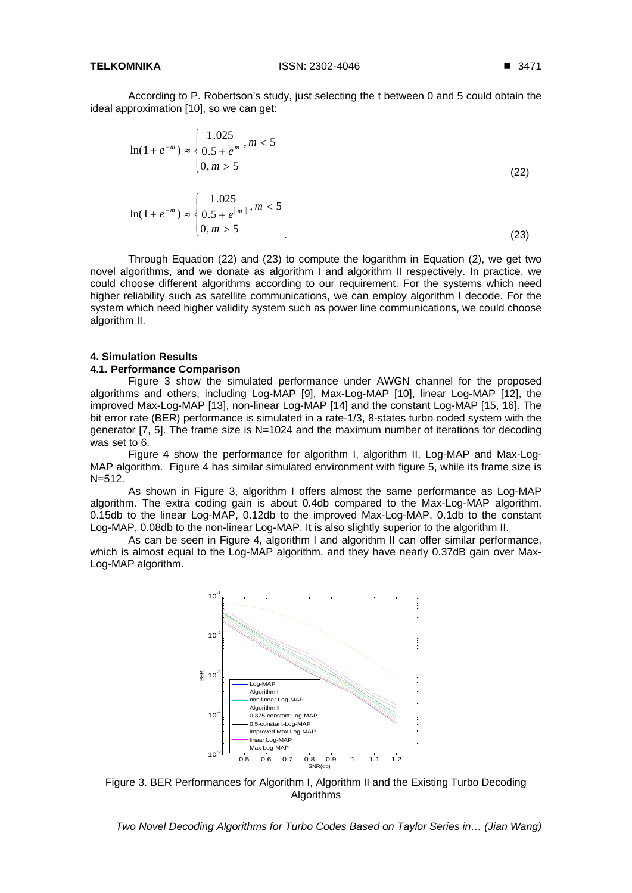According to P. Robertson's study, just selecting the t between 0 and 5 could obtain the ideal approximation [10], so we can get:

$$
\ln(1 + e^{-m}) \approx \begin{cases} \frac{1.025}{0.5 + e^{m}}, m < 5\\ 0, m > 5 \end{cases}
$$
\n
$$
\ln(1 + e^{-m}) \approx \begin{cases} \frac{1.025}{0.5 + e^{\lfloor m \rfloor}}, m < 5\\ 0, m > 5 \end{cases}
$$
\n(22)

Through Equation (22) and (23) to compute the logarithm in Equation (2), we get two novel algorithms, and we donate as algorithm I and algorithm II respectively. In practice, we could choose different algorithms according to our requirement. For the systems which need higher reliability such as satellite communications, we can employ algorithm I decode. For the system which need higher validity system such as power line communications, we could choose algorithm II.

## **4. Simulation Results**

#### **4.1. Performance Comparison**

Figure 3 show the simulated performance under AWGN channel for the proposed algorithms and others, including Log-MAP [9], Max-Log-MAP [10], linear Log-MAP [12], the improved Max-Log-MAP [13], non-linear Log-MAP [14] and the constant Log-MAP [15, 16]. The bit error rate (BER) performance is simulated in a rate-1/3, 8-states turbo coded system with the generator [7, 5]. The frame size is N=1024 and the maximum number of iterations for decoding was set to 6.

Figure 4 show the performance for algorithm I, algorithm II, Log-MAP and Max-Log-MAP algorithm. Figure 4 has similar simulated environment with figure 5, while its frame size is N=512.

As shown in Figure 3, algorithm I offers almost the same performance as Log-MAP algorithm. The extra coding gain is about 0.4db compared to the Max-Log-MAP algorithm. 0.15db to the linear Log-MAP, 0.12db to the improved Max-Log-MAP, 0.1db to the constant Log-MAP, 0.08db to the non-linear Log-MAP. It is also slightly superior to the algorithm II.

As can be seen in Figure 4, algorithm I and algorithm II can offer similar performance, which is almost equal to the Log-MAP algorithm. and they have nearly 0.37dB gain over Max-Log-MAP algorithm.



Figure 3. BER Performances for Algorithm I, Algorithm II and the Existing Turbo Decoding Algorithms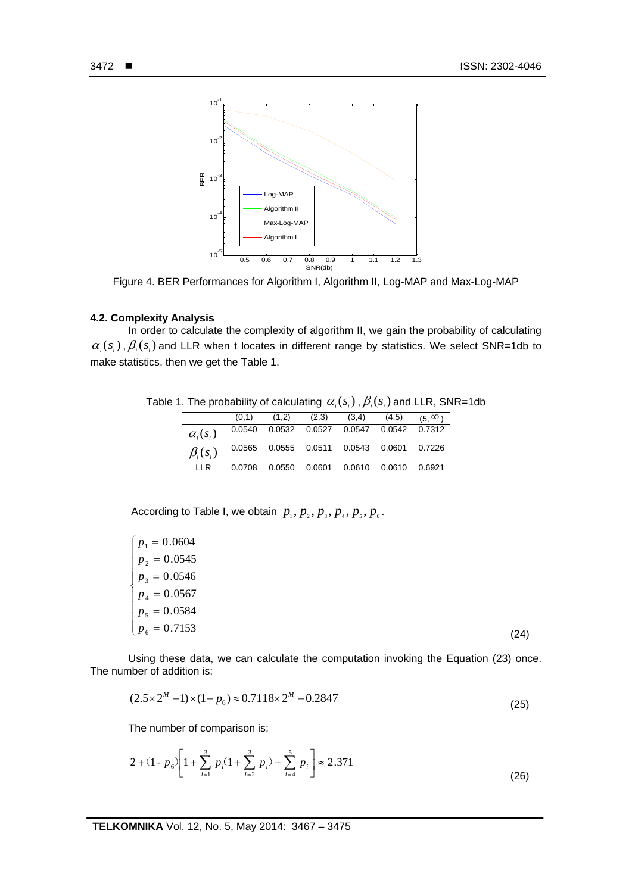

Figure 4. BER Performances for Algorithm I, Algorithm II, Log-MAP and Max-Log-MAP

## **4.2. Complexity Analysis**

In order to calculate the complexity of algorithm II, we gain the probability of calculating  $\alpha_i(s_i)$ ,  $\beta_i(s_i)$  and LLR when t locates in different range by statistics. We select SNR=1db to make statistics, then we get the Table 1.

Table 1. The probability of calculating  $\alpha_i(s_i)$ ,  $\beta_i(s_i)$  and LLR, SNR=1db

|                 | (0,1)  | (1,2) | (2,3) | (3,4)                                          | (4,5) | $(5, \infty)$ |
|-----------------|--------|-------|-------|------------------------------------------------|-------|---------------|
| $\alpha_i(s_i)$ |        |       |       | 0.0540  0.0532  0.0527  0.0547  0.0542  0.7312 |       |               |
| $\beta_i(s_i)$  |        |       |       | 0.0565  0.0555  0.0511  0.0543  0.0601  0.7226 |       |               |
| IIR.            | 0.0708 |       |       |                                                |       | 0.6921        |

According to Table I, we obtain  $p_1, p_2, p_3, p_4, p_5, p_6$ .

| $p_1 = 0.0604$ |      |
|----------------|------|
| $p_2 = 0.0545$ |      |
| $p_3 = 0.0546$ |      |
| $p_4 = 0.0567$ |      |
| $p_5 = 0.0584$ |      |
| $p_6 = 0.7153$ | (24) |

Using these data, we can calculate the computation invoking the Equation (23) once. The number of addition is:

$$
(2.5 \times 2^M - 1) \times (1 - p_6) \approx 0.7118 \times 2^M - 0.2847
$$
\n(25)

The number of comparison is:

$$
2 + (1 - p_6) \left[ 1 + \sum_{i=1}^{3} p_i (1 + \sum_{i=2}^{3} p_i) + \sum_{i=4}^{5} p_i \right] \approx 2.371
$$
 (26)

İ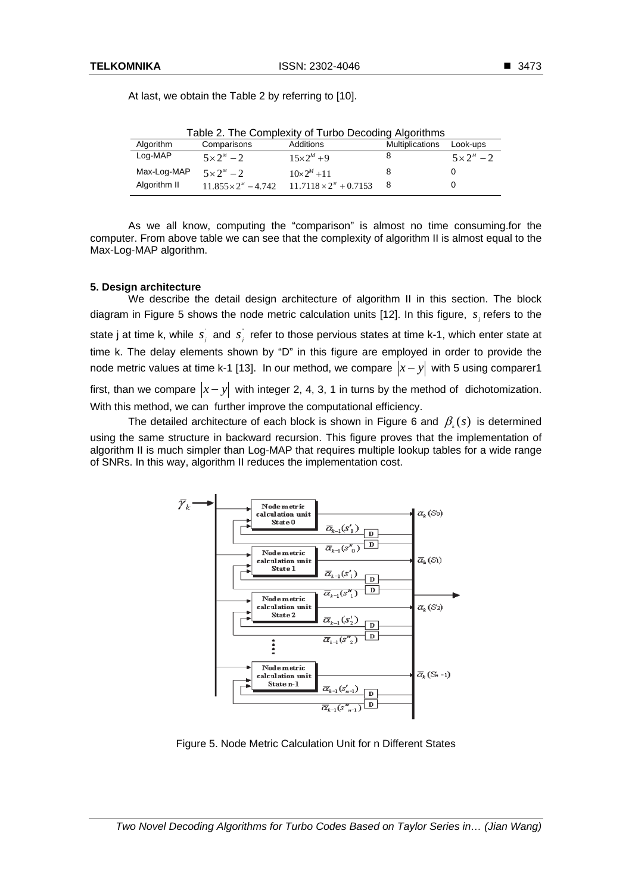| Table 2. The Complexity of Turbo Decoding Algorithms |                             |                               |                        |                      |  |  |  |
|------------------------------------------------------|-----------------------------|-------------------------------|------------------------|----------------------|--|--|--|
| Algorithm                                            | Comparisons                 | Additions                     | <b>Multiplications</b> | Look-ups             |  |  |  |
| Log-MAP                                              | $5 \times 2^{M} - 2$        | $15 \times 2^{M} + 9$         | 8                      | $5 \times 2^{M} - 2$ |  |  |  |
| Max-Log-MAP                                          | $5 \times 2^{M} - 2$        | $10 \times 2^M + 11$          |                        |                      |  |  |  |
| Algorithm II                                         | $11.855 \times 2^M - 4.742$ | $11.7118 \times 2^M + 0.7153$ | 8                      |                      |  |  |  |

At last, we obtain the Table 2 by referring to [10].

As we all know, computing the "comparison" is almost no time consuming.for the computer. From above table we can see that the complexity of algorithm II is almost equal to the Max-Log-MAP algorithm.

## **5. Design architecture**

We describe the detail design architecture of algorithm II in this section. The block diagram in Figure 5 shows the node metric calculation units [12]. In this figure,  $s_i$  refers to the state j at time k, while  $\overline{s_j}$  and  $\overline{s_j}$  refer to those pervious states at time k-1, which enter state at time k. The delay elements shown by "D" in this figure are employed in order to provide the node metric values at time k-1 [13]. In our method, we compare  $|x-y|$  with 5 using comparer1 first, than we compare  $|x-y|$  with integer 2, 4, 3, 1 in turns by the method of dichotomization. With this method, we can further improve the computational efficiency.

The detailed architecture of each block is shown in Figure 6 and  $\beta_k(s)$  is determined using the same structure in backward recursion. This figure proves that the implementation of algorithm II is much simpler than Log-MAP that requires multiple lookup tables for a wide range of SNRs. In this way, algorithm II reduces the implementation cost.



Figure 5. Node Metric Calculation Unit for n Different States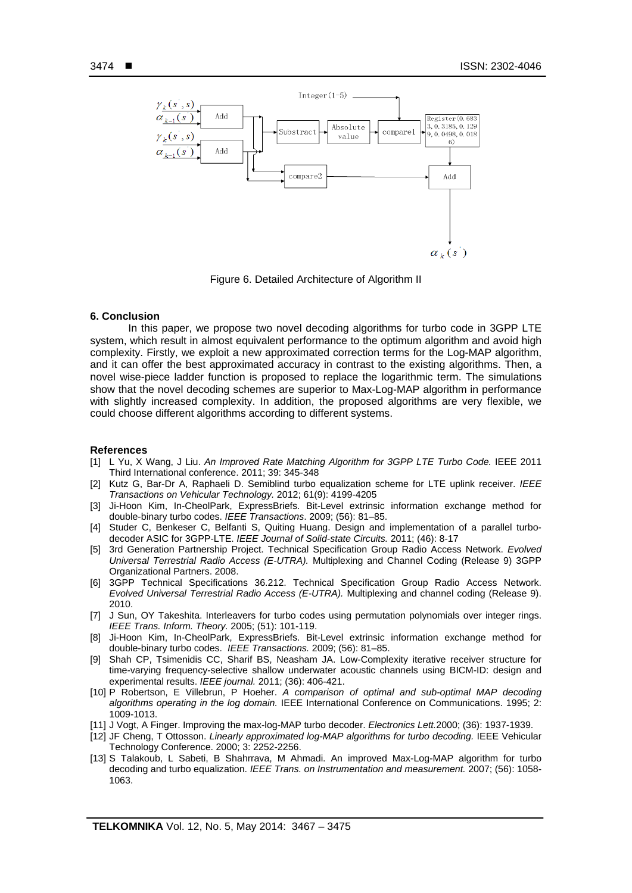İ



Figure 6. Detailed Architecture of Algorithm II

#### **6. Conclusion**

In this paper, we propose two novel decoding algorithms for turbo code in 3GPP LTE system, which result in almost equivalent performance to the optimum algorithm and avoid high complexity. Firstly, we exploit a new approximated correction terms for the Log-MAP algorithm, and it can offer the best approximated accuracy in contrast to the existing algorithms. Then, a novel wise-piece ladder function is proposed to replace the logarithmic term. The simulations show that the novel decoding schemes are superior to Max-Log-MAP algorithm in performance with slightly increased complexity. In addition, the proposed algorithms are very flexible, we could choose different algorithms according to different systems.

#### **References**

- [1] L Yu, X Wang, J Liu. *An Improved Rate Matching Algorithm for 3GPP LTE Turbo Code.* IEEE 2011 Third International conference. 2011; 39: 345-348
- [2] Kutz G, Bar-Dr A, Raphaeli D. Semiblind turbo equalization scheme for LTE uplink receiver. *IEEE Transactions on Vehicular Technology.* 2012; 61(9): 4199-4205
- [3] Ji-Hoon Kim, In-CheolPark, ExpressBriefs. Bit-Level extrinsic information exchange method for double-binary turbo codes. *IEEE Transactions*. 2009; (56): 81–85.
- [4] Studer C, Benkeser C, Belfanti S, Quiting Huang. Design and implementation of a parallel turbodecoder ASIC for 3GPP-LTE. *IEEE Journal of Solid-state Circuits.* 2011; (46): 8-17
- [5] 3rd Generation Partnership Project. Technical Specification Group Radio Access Network. *Evolved Universal Terrestrial Radio Access (E-UTRA).* Multiplexing and Channel Coding (Release 9) 3GPP Organizational Partners. 2008.
- [6] 3GPP Technical Specifications 36.212. Technical Specification Group Radio Access Network. *Evolved Universal Terrestrial Radio Access (E-UTRA).* Multiplexing and channel coding (Release 9). 2010.
- [7] J Sun, OY Takeshita. Interleavers for turbo codes using permutation polynomials over integer rings. *IEEE Trans. Inform. Theory.* 2005; (51): 101-119.
- [8] Ji-Hoon Kim, In-CheolPark, ExpressBriefs. Bit-Level extrinsic information exchange method for double-binary turbo codes. *IEEE Transactions.* 2009; (56): 81–85.
- [9] Shah CP, Tsimenidis CC, Sharif BS, Neasham JA. Low-Complexity iterative receiver structure for time-varying frequency-selective shallow underwater acoustic channels using BICM-ID: design and experimental results. *IEEE journal.* 2011; (36): 406-421.
- [10] P Robertson, E Villebrun, P Hoeher. *A comparison of optimal and sub-optimal MAP decoding algorithms operating in the log domain.* IEEE International Conference on Communications. 1995; 2: 1009-1013.
- [11] J Vogt, A Finger. Improving the max-log-MAP turbo decoder. *Electronics Lett.*2000; (36): 1937-1939.
- [12] JF Cheng, T Ottosson. *Linearly approximated log-MAP algorithms for turbo decoding.* IEEE Vehicular Technology Conference. 2000; 3: 2252-2256.
- [13] S Talakoub, L Sabeti, B Shahrrava, M Ahmadi. An improved Max-Log-MAP algorithm for turbo decoding and turbo equalization. *IEEE Trans. on Instrumentation and measurement.* 2007; (56): 1058- 1063.